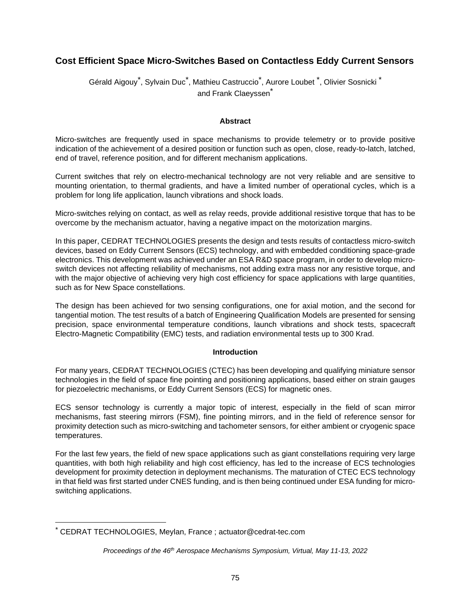# **Cost Efficient Space Micro-Switches Based on Contactless Eddy Current Sensors**

Gérald Aigouy<sup>[\\*](#page-0-0)</sup>, Sylvain Duc<sup>\*</sup>, Mathieu Castruccio<sup>\*</sup>, Aurore Loubet <sup>\*</sup>, Olivier Sosnicki <sup>\*</sup> and Frank Claeyssen<sup>\*</sup>

#### **Abstract**

Micro-switches are frequently used in space mechanisms to provide telemetry or to provide positive indication of the achievement of a desired position or function such as open, close, ready-to-latch, latched, end of travel, reference position, and for different mechanism applications.

Current switches that rely on electro-mechanical technology are not very reliable and are sensitive to mounting orientation, to thermal gradients, and have a limited number of operational cycles, which is a problem for long life application, launch vibrations and shock loads.

Micro-switches relying on contact, as well as relay reeds, provide additional resistive torque that has to be overcome by the mechanism actuator, having a negative impact on the motorization margins.

In this paper, CEDRAT TECHNOLOGIES presents the design and tests results of contactless micro-switch devices, based on Eddy Current Sensors (ECS) technology, and with embedded conditioning space-grade electronics. This development was achieved under an ESA R&D space program, in order to develop microswitch devices not affecting reliability of mechanisms, not adding extra mass nor any resistive torque, and with the major objective of achieving very high cost efficiency for space applications with large quantities, such as for New Space constellations.

The design has been achieved for two sensing configurations, one for axial motion, and the second for tangential motion. The test results of a batch of Engineering Qualification Models are presented for sensing precision, space environmental temperature conditions, launch vibrations and shock tests, spacecraft Electro-Magnetic Compatibility (EMC) tests, and radiation environmental tests up to 300 Krad.

## **Introduction**

For many years, CEDRAT TECHNOLOGIES (CTEC) has been developing and qualifying miniature sensor technologies in the field of space fine pointing and positioning applications, based either on strain gauges for piezoelectric mechanisms, or Eddy Current Sensors (ECS) for magnetic ones.

ECS sensor technology is currently a major topic of interest, especially in the field of scan mirror mechanisms, fast steering mirrors (FSM), fine pointing mirrors, and in the field of reference sensor for proximity detection such as micro-switching and tachometer sensors, for either ambient or cryogenic space temperatures.

For the last few years, the field of new space applications such as giant constellations requiring very large quantities, with both high reliability and high cost efficiency, has led to the increase of ECS technologies development for proximity detection in deployment mechanisms. The maturation of CTEC ECS technology in that field was first started under CNES funding, and is then being continued under ESA funding for microswitching applications.

<span id="page-0-0"></span><sup>\*</sup> CEDRAT TECHNOLOGIES, Meylan, France ; actuator@cedrat-tec.com

*Proceedings of the 46th Aerospace Mechanisms Symposium, Virtual, May 11-13, 2022*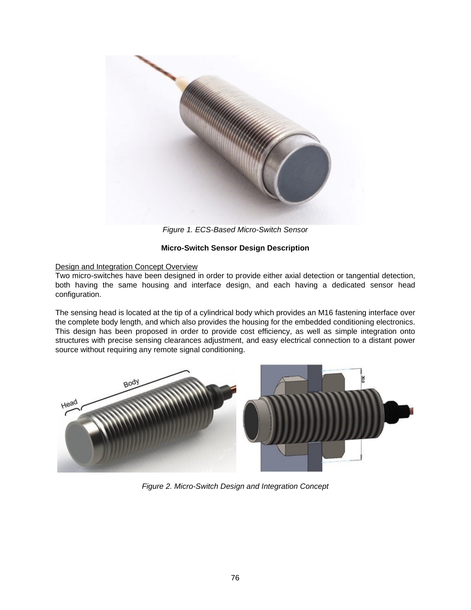

*Figure 1. ECS-Based Micro-Switch Sensor* 

## **Micro-Switch Sensor Design Description**

## Design and Integration Concept Overview

Two micro-switches have been designed in order to provide either axial detection or tangential detection, both having the same housing and interface design, and each having a dedicated sensor head configuration.

The sensing head is located at the tip of a cylindrical body which provides an M16 fastening interface over the complete body length, and which also provides the housing for the embedded conditioning electronics. This design has been proposed in order to provide cost efficiency, as well as simple integration onto structures with precise sensing clearances adjustment, and easy electrical connection to a distant power source without requiring any remote signal conditioning.



*Figure 2. Micro-Switch Design and Integration Concept*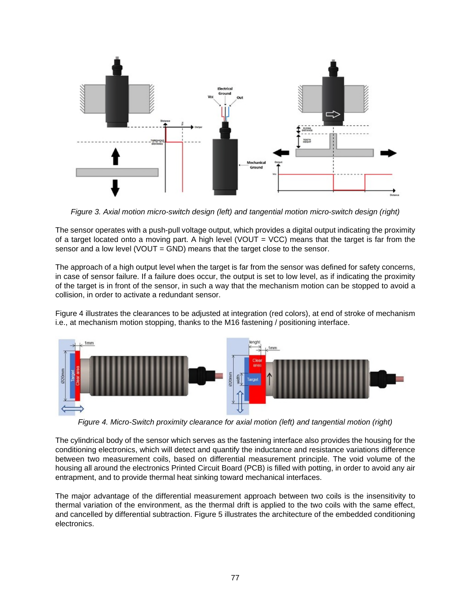

*Figure 3. Axial motion micro-switch design (left) and tangential motion micro-switch design (right)* 

The sensor operates with a push-pull voltage output, which provides a digital output indicating the proximity of a target located onto a moving part. A high level (VOUT = VCC) means that the target is far from the sensor and a low level (VOUT = GND) means that the target close to the sensor.

The approach of a high output level when the target is far from the sensor was defined for safety concerns, in case of sensor failure. If a failure does occur, the output is set to low level, as if indicating the proximity of the target is in front of the sensor, in such a way that the mechanism motion can be stopped to avoid a collision, in order to activate a redundant sensor.

Figure 4 illustrates the clearances to be adjusted at integration (red colors), at end of stroke of mechanism i.e., at mechanism motion stopping, thanks to the M16 fastening / positioning interface.



*Figure 4. Micro-Switch proximity clearance for axial motion (left) and tangential motion (right)* 

The cylindrical body of the sensor which serves as the fastening interface also provides the housing for the conditioning electronics, which will detect and quantify the inductance and resistance variations difference between two measurement coils, based on differential measurement principle. The void volume of the housing all around the electronics Printed Circuit Board (PCB) is filled with potting, in order to avoid any air entrapment, and to provide thermal heat sinking toward mechanical interfaces.

The major advantage of the differential measurement approach between two coils is the insensitivity to thermal variation of the environment, as the thermal drift is applied to the two coils with the same effect, and cancelled by differential subtraction. Figure 5 illustrates the architecture of the embedded conditioning electronics.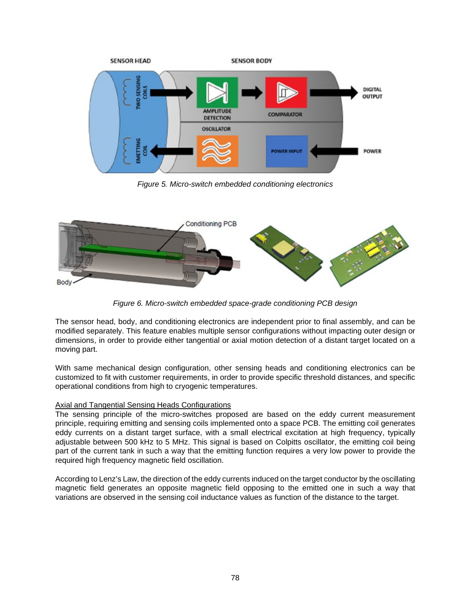

*Figure 5. Micro-switch embedded conditioning electronics* 



*Figure 6. Micro-switch embedded space-grade conditioning PCB design* 

The sensor head, body, and conditioning electronics are independent prior to final assembly, and can be modified separately. This feature enables multiple sensor configurations without impacting outer design or dimensions, in order to provide either tangential or axial motion detection of a distant target located on a moving part.

With same mechanical design configuration, other sensing heads and conditioning electronics can be customized to fit with customer requirements, in order to provide specific threshold distances, and specific operational conditions from high to cryogenic temperatures.

## Axial and Tangential Sensing Heads Configurations

The sensing principle of the micro-switches proposed are based on the eddy current measurement principle, requiring emitting and sensing coils implemented onto a space PCB. The emitting coil generates eddy currents on a distant target surface, with a small electrical excitation at high frequency, typically adjustable between 500 kHz to 5 MHz. This signal is based on Colpitts oscillator, the emitting coil being part of the current tank in such a way that the emitting function requires a very low power to provide the required high frequency magnetic field oscillation.

According to Lenz's Law, the direction of the eddy currents induced on the target conductor by the oscillating magnetic field generates an opposite magnetic field opposing to the emitted one in such a way that variations are observed in the sensing coil inductance values as function of the distance to the target.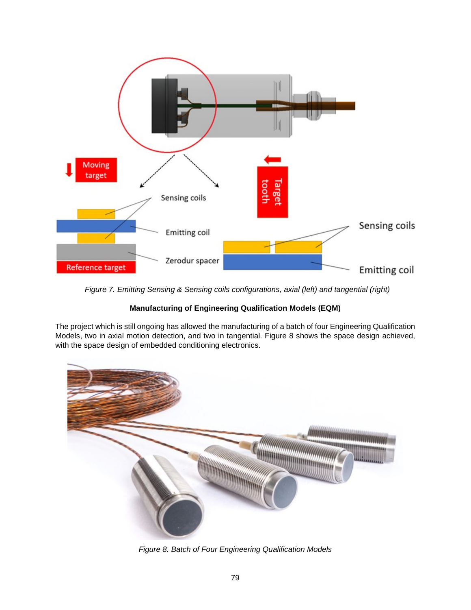

 *Figure 7. Emitting Sensing & Sensing coils configurations, axial (left) and tangential (right)* 

## **Manufacturing of Engineering Qualification Models (EQM)**

The project which is still ongoing has allowed the manufacturing of a batch of four Engineering Qualification Models, two in axial motion detection, and two in tangential. Figure 8 shows the space design achieved, with the space design of embedded conditioning electronics.



*Figure 8. Batch of Four Engineering Qualification Models*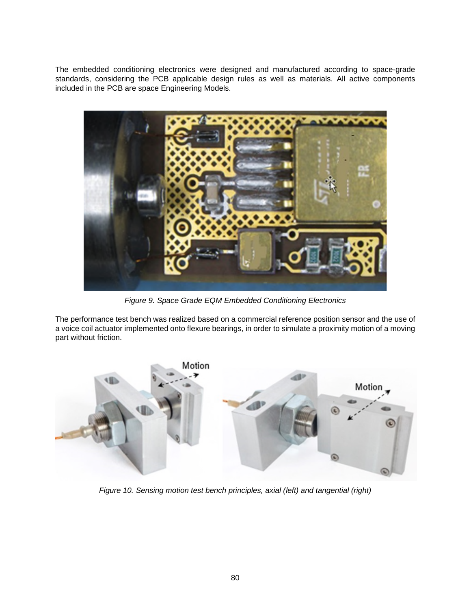The embedded conditioning electronics were designed and manufactured according to space-grade standards, considering the PCB applicable design rules as well as materials. All active components included in the PCB are space Engineering Models.



*Figure 9. Space Grade EQM Embedded Conditioning Electronics* 

The performance test bench was realized based on a commercial reference position sensor and the use of a voice coil actuator implemented onto flexure bearings, in order to simulate a proximity motion of a moving part without friction.



*Figure 10. Sensing motion test bench principles, axial (left) and tangential (right)*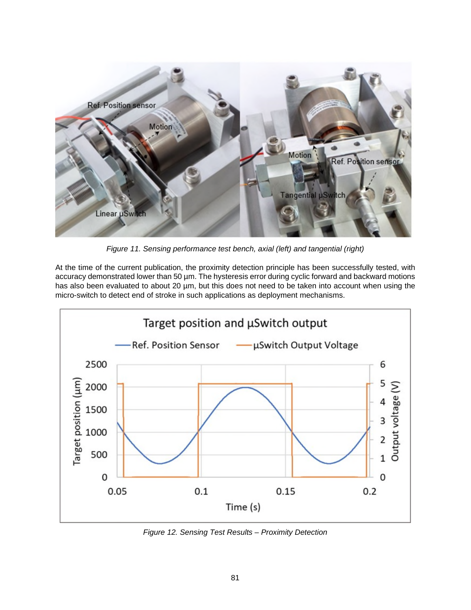

*Figure 11. Sensing performance test bench, axial (left) and tangential (right)* 

At the time of the current publication, the proximity detection principle has been successfully tested, with accuracy demonstrated lower than 50 µm. The hysteresis error during cyclic forward and backward motions has also been evaluated to about 20 µm, but this does not need to be taken into account when using the micro-switch to detect end of stroke in such applications as deployment mechanisms.



*Figure 12. Sensing Test Results – Proximity Detection*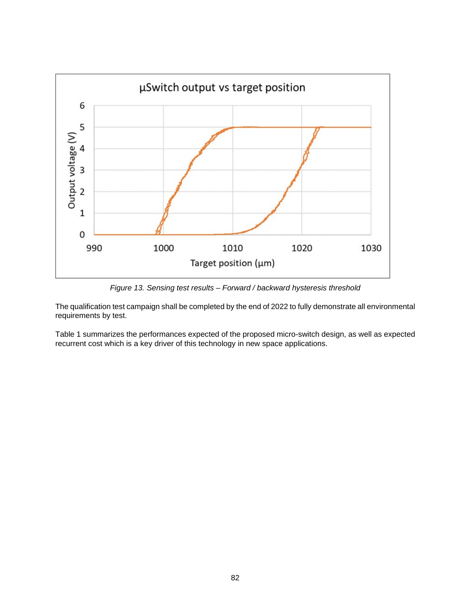

*Figure 13. Sensing test results – Forward / backward hysteresis threshold* 

The qualification test campaign shall be completed by the end of 2022 to fully demonstrate all environmental requirements by test.

Table 1 summarizes the performances expected of the proposed micro-switch design, as well as expected recurrent cost which is a key driver of this technology in new space applications.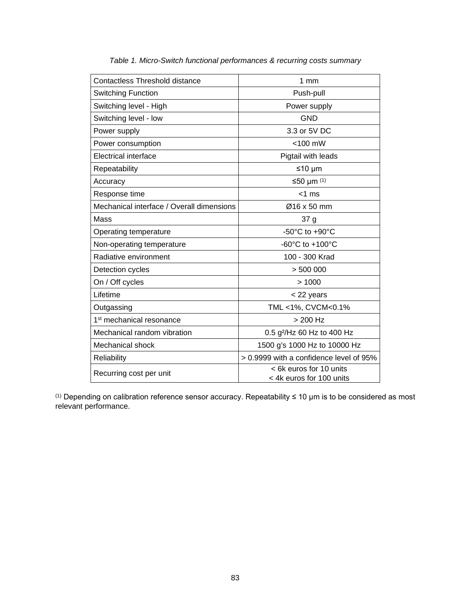| $1 \text{ mm}$                                      |
|-----------------------------------------------------|
| Push-pull                                           |
| Power supply                                        |
| <b>GND</b>                                          |
| 3.3 or 5V DC                                        |
| $<$ 100 mW                                          |
| Pigtail with leads                                  |
| $≤10 \mu m$                                         |
| ≤50 µm $(1)$                                        |
| $<$ 1 ms                                            |
| Ø16 x 50 mm                                         |
| 37 g                                                |
| -50 $^{\circ}$ C to +90 $^{\circ}$ C                |
| -60°C to +100°C                                     |
| 100 - 300 Krad                                      |
| > 500000                                            |
| >1000                                               |
| < 22 years                                          |
| TML <1%, CVCM<0.1%                                  |
| $> 200$ Hz                                          |
| 0.5 g <sup>2</sup> /Hz 60 Hz to 400 Hz              |
| 1500 g's 1000 Hz to 10000 Hz                        |
| > 0.9999 with a confidence level of 95%             |
| < 6k euros for 10 units<br>< 4k euros for 100 units |
|                                                     |

*Table 1. Micro-Switch functional performances & recurring costs summary* 

(1) Depending on calibration reference sensor accuracy. Repeatability ≤ 10 µm is to be considered as most relevant performance.